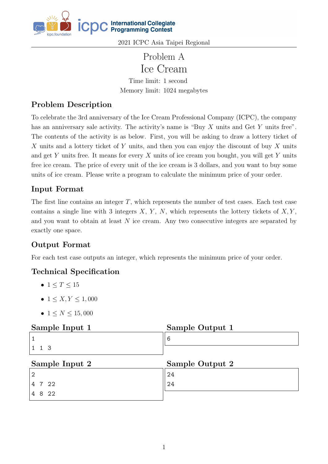

● International Collegiate<br>● Programming Contest

2021 ICPC Asia Taipei Regional

# Problem A Ice Cream

Time limit: 1 second Memory limit: 1024 megabytes

### Problem Description

To celebrate the 3rd anniversary of the Ice Cream Professional Company (ICPC), the company has an anniversary sale activity. The activity's name is "Buy  $X$  units and Get  $Y$  units free". The contents of the activity is as below. First, you will be asking to draw a lottery ticket of X units and a lottery ticket of Y units, and then you can enjoy the discount of buy X units and get Y units free. It means for every X units of ice cream you bought, you will get Y units free ice cream. The price of every unit of the ice cream is 3 dollars, and you want to buy some units of ice cream. Please write a program to calculate the minimum price of your order.

### Input Format

The first line contains an integer  $T$ , which represents the number of test cases. Each test case contains a single line with 3 integers  $X, Y, N$ , which represents the lottery tickets of  $X, Y$ , and you want to obtain at least  $N$  ice cream. Any two consecutive integers are separated by exactly one space.

### Output Format

For each test case outputs an integer, which represents the minimum price of your order.

- $\bullet$  1  $\leq T \leq 15$
- $1 \le X, Y \le 1,000$
- $1 \le N \le 15,000$

| Sample Input 1  | Sample Output 1 |  |  |  |  |  |  |  |
|-----------------|-----------------|--|--|--|--|--|--|--|
|                 | 6               |  |  |  |  |  |  |  |
| $1\quad1\quad3$ |                 |  |  |  |  |  |  |  |
|                 | Sample Output 2 |  |  |  |  |  |  |  |
| Sample Input 2  |                 |  |  |  |  |  |  |  |
|                 | 24              |  |  |  |  |  |  |  |
| 4 7 22          | 24              |  |  |  |  |  |  |  |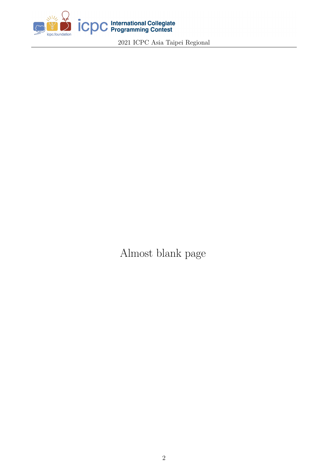

Almost blank page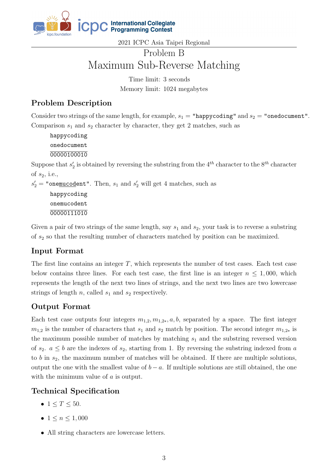

# Problem B Maximum Sub-Reverse Matching

Time limit: 3 seconds Memory limit: 1024 megabytes

## Problem Description

Consider two strings of the same length, for example,  $s_1$  = "happycoding" and  $s_2$  = "onedocument". Comparison  $s_1$  and  $s_2$  character by character, they get 2 matches, such as

happycoding onedocument 00000100010

Suppose that  $s_2'$  is obtained by reversing the substring from the  $4^{th}$  character to the  $8^{th}$  character of  $s_2$ , i.e.,

 $s'_2$  = "onemucodent". Then,  $s_1$  and  $s'_2$  will get 4 matches, such as

happycoding onemucodent 00000111010

Given a pair of two strings of the same length, say  $s_1$  and  $s_2$ , your task is to reverse a substring of  $s_2$  so that the resulting number of characters matched by position can be maximized.

### Input Format

The first line contains an integer  $T$ , which represents the number of test cases. Each test case below contains three lines. For each test case, the first line is an integer  $n \leq 1,000$ , which represents the length of the next two lines of strings, and the next two lines are two lowercase strings of length n, called  $s_1$  and  $s_2$  respectively.

## Output Format

Each test case outputs four integers  $m_{1,2}, m_{1,2*}, a, b$ , separated by a space. The first integer  $m_{1,2}$  is the number of characters that  $s_1$  and  $s_2$  match by position. The second integer  $m_{1,2*}$  is the maximum possible number of matches by matching  $s_1$  and the substring reversed version of  $s_2$ .  $a \leq b$  are the indexes of  $s_2$ , starting from 1. By reversing the substring indexed from a to  $b$  in  $s_2$ , the maximum number of matches will be obtained. If there are multiple solutions, output the one with the smallest value of  $b - a$ . If multiple solutions are still obtained, the one with the minimum value of  $\alpha$  is output.

- 1  $\leq T \leq 50$ .
- $1 \le n \le 1,000$
- ∙ All string characters are lowercase letters.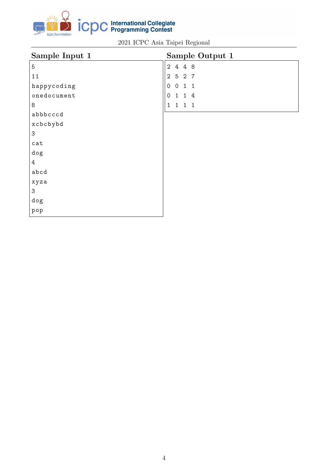

**iCDC** International Collegiate

2021 ICPC Asia Taipei Regional

| Sample Input 1            | Sample Output 1                                    |
|---------------------------|----------------------------------------------------|
| $\mathbf 5$               | 4 4 8<br>$\overline{2}$                            |
| 11                        | 5 2 7<br>$\overline{2}$                            |
| happycoding               | $\mathsf{O}\xspace$<br>$\overline{0}$<br>$1\quad1$ |
| onedocument               | $\mbox{O}$<br>$1$ 1 4                              |
| 8                         | $\mathbf{1}$<br>1<br>$1\quad1$                     |
| abbbcccd                  |                                                    |
| xcbcbybd                  |                                                    |
| 3                         |                                                    |
| cat                       |                                                    |
| dog                       |                                                    |
| $\overline{4}$            |                                                    |
| abcd                      |                                                    |
| xyza                      |                                                    |
| $\ensuremath{\mathsf{3}}$ |                                                    |
| dog                       |                                                    |
| pop                       |                                                    |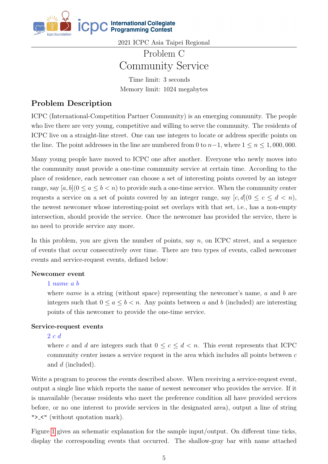

**DC** International Collegiate

2021 ICPC Asia Taipei Regional

# Problem C Community Service

Time limit: 3 seconds Memory limit: 1024 megabytes

### Problem Description

ICPC (International-Competition Partner Community) is an emerging community. The people who live there are very young, competitive and willing to serve the community. The residents of ICPC live on a straight-line street. One can use integers to locate or address specific points on the line. The point addresses in the line are numbered from 0 to  $n-1$ , where  $1 \le n \le 1,000,000$ .

Many young people have moved to ICPC one after another. Everyone who newly moves into the community must provide a one-time community service at certain time. According to the place of residence, each newcomer can choose a set of interesting points covered by an integer range, say  $[a, b]$  ( $0 \le a \le b < n$ ) to provide such a one-time service. When the community center requests a service on a set of points covered by an integer range, say  $[c, d](0 \le c \le d \le n)$ , the newest newcomer whose interesting-point set overlays with that set, i.e., has a non-empty intersection, should provide the service. Once the newcomer has provided the service, there is no need to provide service any more.

In this problem, you are given the number of points, say  $n$ , on ICPC street, and a sequence of events that occur consecutively over time. There are two types of events, called newcomer events and service-request events, defined below:

### Newcomer event

#### $1$  name  $a$   $b$

where *name* is a string (without space) representing the newcomer's name,  $a$  and  $b$  are integers such that  $0 \le a \le b < n$ . Any points between a and b (included) are interesting points of this newcomer to provide the one-time service.

#### Service-request events

#### $2 c d$

where c and d are integers such that  $0 \leq c \leq d < n$ . This event represents that ICPC community center issues a service request in the area which includes all points between  $c$ and  $d$  (included).

Write a program to process the events described above. When receiving a service-request event, output a single line which reports the name of newest newcomer who provides the service. If it is unavailable (because residents who meet the preference condition all have provided services before, or no one interest to provide services in the designated area), output a line of string ">  $\leq$ " (without quotation mark).

Figure [1](#page-5-0) gives an schematic explanation for the sample input/output. On different time ticks, display the corresponding events that occurred. The shallow-gray bar with name attached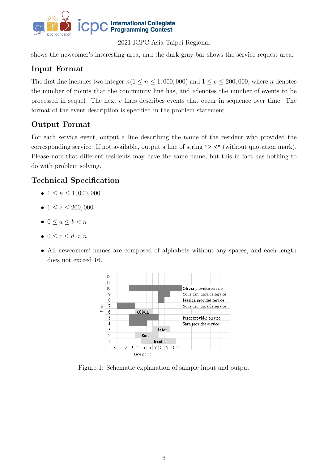

shows the newcomer's interesting area, and the dark-gray bar shows the service request area.

### Input Format

The first line includes two integer  $n(1 \le n \le 1,000,000)$  and  $1 \le e \le 200,000$ , where *n* denotes the number of points that the community line has, and edenotes the number of events to be processed in sequel. The next  $e$  lines describes events that occur in sequence over time. The format of the event description is specified in the problem statement.

## Output Format

For each service event, output a line describing the name of the resident who provided the corresponding service. If not available, output a line of string "> <" (without quotation mark). Please note that different residents may have the same name, but this in fact has nothing to do with problem solving.

- $1 \le n \le 1,000,000$
- $1 \le e \le 200,000$
- $\bullet$  0 <  $a < b < n$
- $\bullet \ 0 \leq c \leq d < n$
- <span id="page-5-0"></span>∙ All newcomers' names are composed of alphabets without any spaces, and each length does not exceed 16.



Figure 1: Schematic explanation of sample input and output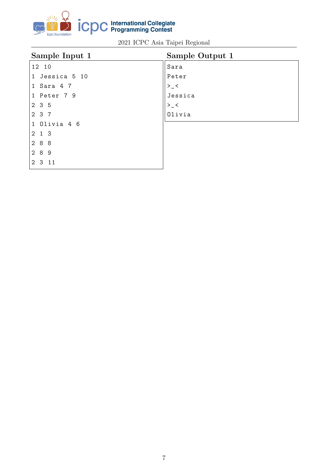

| Sample Input 1             | Sample Output 1  |  |  |  |  |  |  |
|----------------------------|------------------|--|--|--|--|--|--|
| 12 10                      | Sara             |  |  |  |  |  |  |
| 1 Jessica 5 10             | Peter            |  |  |  |  |  |  |
| 1 Sara 4 7                 | $>$ $\angle$ $<$ |  |  |  |  |  |  |
| 1 Peter 7 9                | Jessica          |  |  |  |  |  |  |
| 235                        | $>$ <            |  |  |  |  |  |  |
| 2 3 7                      | Olivia           |  |  |  |  |  |  |
| 1 Olivia 4 6               |                  |  |  |  |  |  |  |
| $2\quad1\quad3$            |                  |  |  |  |  |  |  |
| 288                        |                  |  |  |  |  |  |  |
| 2 8 9                      |                  |  |  |  |  |  |  |
| $\overline{2}$<br>$3 \t11$ |                  |  |  |  |  |  |  |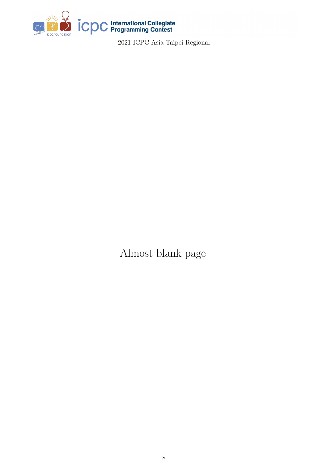

Almost blank page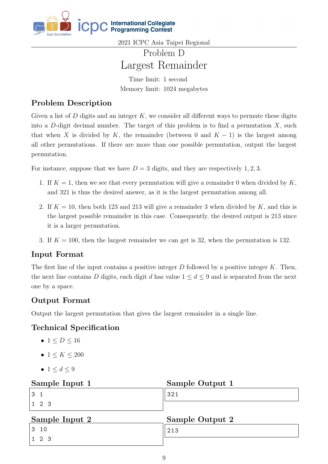

# Problem D Largest Remainder

Time limit: 1 second Memory limit: 1024 megabytes

## Problem Description

Given a list of  $D$  digits and an integer  $K$ , we consider all different ways to permute these digits into a D-digit decimal number. The target of this problem is to find a permutation  $X$ , such that when X is divided by K, the remainder (between 0 and  $K - 1$ ) is the largest among all other permutations. If there are more than one possible permutation, output the largest permutation.

For instance, suppose that we have  $D = 3$  digits, and they are respectively 1, 2, 3.

- 1. If  $K = 1$ , then we see that every permutation will give a remainder 0 when divided by K, and 321 is thus the desired answer, as it is the largest permutation among all.
- 2. If  $K = 10$ , then both 123 and 213 will give a remainder 3 when divided by K, and this is the largest possible remainder in this case. Consequently, the desired output is 213 since it is a larger permutation.
- 3. If  $K = 100$ , then the largest remainder we can get is 32, when the permutation is 132.

### Input Format

The first line of the input contains a positive integer  $D$  followed by a positive integer  $K$ . Then, the next line contains D digits, each digit d has value  $1 \leq d \leq 9$  and is separated from the next one by a space.

### Output Format

Output the largest permutation that gives the largest remainder in a single line.

- $1 < D < 16$
- $1 \le K \le 200$
- $\bullet$  1  $\leq d \leq 9$

| Sample Input 1        | Sample Output 1 |  |  |  |  |  |
|-----------------------|-----------------|--|--|--|--|--|
| 3<br>-1               | 321             |  |  |  |  |  |
| $1\quad2\quad3$       |                 |  |  |  |  |  |
|                       |                 |  |  |  |  |  |
|                       | Sample Output 2 |  |  |  |  |  |
| Sample Input 2<br>310 | 213             |  |  |  |  |  |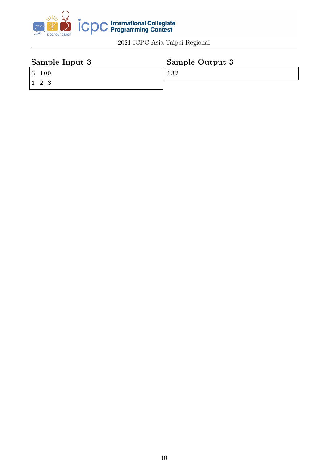

| Sample Input 3 | Sample Output 3 |  |  |  |  |
|----------------|-----------------|--|--|--|--|
| 3100           | 12C             |  |  |  |  |
| 123            |                 |  |  |  |  |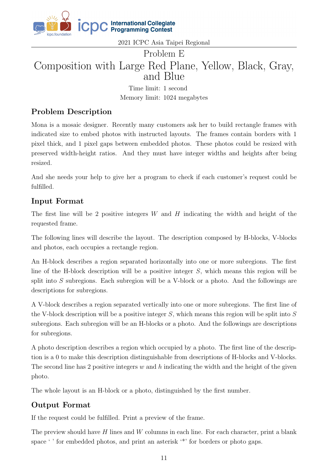

## Problem E Composition with Large Red Plane, Yellow, Black, Gray, and Blue

Time limit: 1 second Memory limit: 1024 megabytes

### Problem Description

Mona is a mosaic designer. Recently many customers ask her to build rectangle frames with indicated size to embed photos with instructed layouts. The frames contain borders with 1 pixel thick, and 1 pixel gaps between embedded photos. These photos could be resized with preserved width-height ratios. And they must have integer widths and heights after being resized.

And she needs your help to give her a program to check if each customer's request could be fulfilled.

### Input Format

The first line will be 2 positive integers  $W$  and  $H$  indicating the width and height of the requested frame.

The following lines will describe the layout. The description composed by H-blocks, V-blocks and photos, each occupies a rectangle region.

An H-block describes a region separated horizontally into one or more subregions. The first line of the H-block description will be a positive integer  $S$ , which means this region will be split into  $S$  subregions. Each subregion will be a V-block or a photo. And the followings are descriptions for subregions.

A V-block describes a region separated vertically into one or more subregions. The first line of the V-block description will be a positive integer  $S$ , which means this region will be split into  $S$ subregions. Each subregion will be an H-blocks or a photo. And the followings are descriptions for subregions.

A photo description describes a region which occupied by a photo. The first line of the description is a 0 to make this description distinguishable from descriptions of H-blocks and V-blocks. The second line has 2 positive integers  $w$  and  $h$  indicating the width and the height of the given photo.

The whole layout is an H-block or a photo, distinguished by the first number.

### Output Format

If the request could be fulfilled. Print a preview of the frame.

The preview should have  $H$  lines and  $W$  columns in each line. For each character, print a blank space ' ' for embedded photos, and print an asterisk '\*' for borders or photo gaps.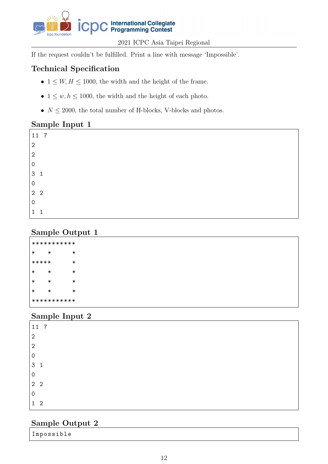

If the request couldn't be fulfilled. Print a line with message 'Impossible'.

### Technical Specification

- $1 \leq W, H \leq 1000$ , the width and the height of the frame.
- $1 \leq w, h \leq 1000$ , the width and the height of each photo.
- $N \leq 2000$ , the total number of H-blocks, V-blocks and photos.

### Sample Input 1

| 11 7                                  |  |
|---------------------------------------|--|
| $\overline{2}$                        |  |
| $^{\prime}$ 2                         |  |
| $\mathbf 0$                           |  |
| 3 <sub>1</sub>                        |  |
| $\mathsf{O}\xspace$                   |  |
| $\begin{vmatrix} 2 & 2 \end{vmatrix}$ |  |
| $\mathsf{O}\xspace$                   |  |
| 1<br>1                                |  |

### Sample Output 1

|        | *********** |        |
|--------|-------------|--------|
| $\ast$ | $\ast$      | $\ast$ |
| *****  |             | $\ast$ |
| $\ast$ | $\ast$      | $\ast$ |
| $\ast$ | $\ast$      | $\ast$ |
| $\ast$ | $\ast$      | $\ast$ |
|        | *********** |        |

## Sample Input 2

| 11 7                |  |
|---------------------|--|
| $\mathbf{2}$        |  |
| $\sqrt{2}$          |  |
| $\mathbf 0$         |  |
| 3 <sub>1</sub>      |  |
| $\mathsf{O}\xspace$ |  |
| $2 \quad 2$         |  |
| $\mathsf{O}\xspace$ |  |
| $1\quad2$           |  |

### Sample Output 2

Impossible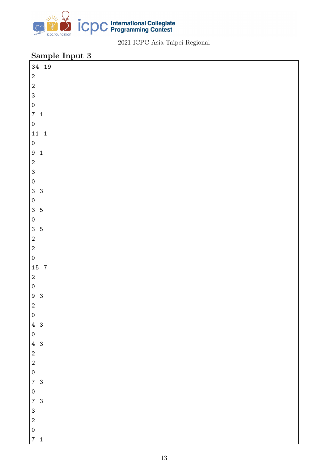

## Sample Input 3

| 34 19                                                             |
|-------------------------------------------------------------------|
| $\overline{c}$                                                    |
| $\overline{c}$                                                    |
| $\overline{3}$                                                    |
|                                                                   |
| $\begin{array}{c} 0 \\ 7 & 1 \\ 0 \end{array}$                    |
|                                                                   |
| $11 \quad 1$                                                      |
| $\mathbf{O}$                                                      |
| $9\quad1$                                                         |
|                                                                   |
| $\frac{2}{3}$                                                     |
|                                                                   |
|                                                                   |
| $\begin{array}{ccc} 0 & & \\ 3 & 3 \\ 0 & & \\ 3 & 5 \end{array}$ |
|                                                                   |
| $\overline{0}$                                                    |
| $\begin{array}{c} 3 & 5 \\ 2 & \\ 2 & \\ 0 & \end{array}$         |
|                                                                   |
|                                                                   |
|                                                                   |
| 15 7                                                              |
| $\begin{array}{c} 2 \\ 0 \\ 9 & 3 \end{array}$                    |
|                                                                   |
|                                                                   |
| $\overline{2}$                                                    |
| $\mathsf{O}\xspace$                                               |
| $4\quad3$                                                         |
| $\overline{O}$                                                    |
| $4\quad3$                                                         |
| $\begin{bmatrix} 2 \\ 2 \\ 2 \\ 0 \\ 7 \\ 3 \end{bmatrix}$        |
|                                                                   |
|                                                                   |
|                                                                   |
| $\overline{0}$                                                    |
| 7 <sup>3</sup>                                                    |
| $\overline{3}$                                                    |
| $\begin{array}{c} 2 \\ 0 \end{array}$                             |
|                                                                   |
| $7 \quad 1$                                                       |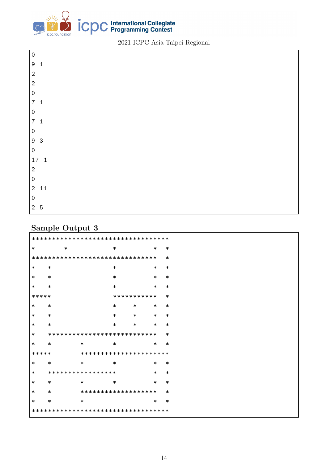

 $\overline{0}$  $9<sub>1</sub>$  $\overline{2}$  $\overline{2}$  $\mathbf 0$  $7<sup>-1</sup>$  $\mathbf 0$  $7<sub>1</sub>$  $\mathbf{O}$ 9 3  $\mathbf 0$  $17<sub>1</sub>$  $\overline{2}$  $\overline{O}$  $2 \quad 11$  $\overline{O}$  $2<sub>5</sub>$ 

## Sample Output 3

| *********************************** |        |  |        |  |        |                   |  |  |  |        |  |  |        |  |                             |  |        |
|-------------------------------------|--------|--|--------|--|--------|-------------------|--|--|--|--------|--|--|--------|--|-----------------------------|--|--------|
| $\ast$                              |        |  | $\ast$ |  |        |                   |  |  |  | $\ast$ |  |  |        |  | $\ast$                      |  | $\ast$ |
| *******************************     |        |  |        |  |        |                   |  |  |  |        |  |  |        |  |                             |  | $\ast$ |
| $\ast$                              | $\ast$ |  |        |  |        |                   |  |  |  | $\ast$ |  |  |        |  | ∗                           |  | $\ast$ |
| $\ast$                              | $\ast$ |  |        |  |        |                   |  |  |  | $\ast$ |  |  |        |  | $\ast$                      |  | $\ast$ |
| $\ast$                              | $\ast$ |  |        |  |        |                   |  |  |  | $\ast$ |  |  |        |  | $\ast$                      |  | $\ast$ |
| *****                               |        |  |        |  |        |                   |  |  |  |        |  |  |        |  | ***********                 |  | $\ast$ |
| $\ast$                              | $\ast$ |  |        |  |        |                   |  |  |  | $\ast$ |  |  | $\ast$ |  | $\ast$                      |  | $\ast$ |
| $\ast$                              | $\ast$ |  |        |  |        |                   |  |  |  | $\ast$ |  |  | $\ast$ |  | $\ast$                      |  | $\ast$ |
| $\ast$                              | $\ast$ |  |        |  |        |                   |  |  |  | $\ast$ |  |  | $\ast$ |  | $\ast$                      |  | $\ast$ |
| $\ast$                              |        |  |        |  |        |                   |  |  |  |        |  |  |        |  | *************************** |  | $\ast$ |
| $\ast$                              | $\ast$ |  |        |  | $\ast$ |                   |  |  |  | $\ast$ |  |  |        |  | $\ast$                      |  | $\ast$ |
| *****                               |        |  |        |  |        |                   |  |  |  |        |  |  |        |  | **********************      |  |        |
| $\ast$                              | $\ast$ |  |        |  | $\ast$ |                   |  |  |  | $\ast$ |  |  |        |  | $\ast$                      |  | $\ast$ |
| $\ast$                              |        |  |        |  |        | ***************** |  |  |  |        |  |  |        |  | $\ast$                      |  | $\ast$ |
| $\ast$                              | $\ast$ |  |        |  | $\ast$ |                   |  |  |  | $\ast$ |  |  |        |  | $\ast$                      |  | $\ast$ |
| $\ast$                              | $\ast$ |  |        |  |        |                   |  |  |  |        |  |  |        |  | *******************         |  | $\ast$ |
| $\ast$                              | $\ast$ |  |        |  | $\ast$ |                   |  |  |  |        |  |  |        |  | $\ast$                      |  | $\ast$ |
| *********************************** |        |  |        |  |        |                   |  |  |  |        |  |  |        |  |                             |  |        |

2021 ICPC Asia Taipei Regional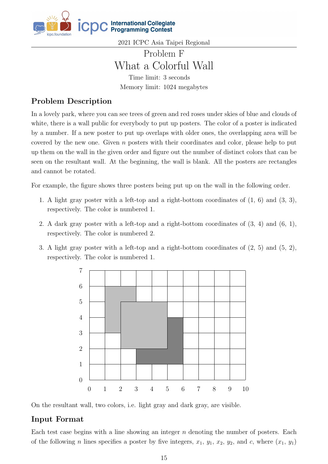

## Problem F What a Colorful Wall Time limit: 3 seconds

Memory limit: 1024 megabytes

## Problem Description

In a lovely park, where you can see trees of green and red roses under skies of blue and clouds of white, there is a wall public for everybody to put up posters. The color of a poster is indicated by a number. If a new poster to put up overlaps with older ones, the overlapping area will be covered by the new one. Given  $n$  posters with their coordinates and color, please help to put up them on the wall in the given order and figure out the number of distinct colors that can be seen on the resultant wall. At the beginning, the wall is blank. All the posters are rectangles and cannot be rotated.

For example, the figure shows three posters being put up on the wall in the following order.

- 1. A light gray poster with a left-top and a right-bottom coordinates of (1, 6) and (3, 3), respectively. The color is numbered 1.
- 2. A dark gray poster with a left-top and a right-bottom coordinates of (3, 4) and (6, 1), respectively. The color is numbered 2.
- 3. A light gray poster with a left-top and a right-bottom coordinates of (2, 5) and (5, 2), respectively. The color is numbered 1.



On the resultant wall, two colors, i.e. light gray and dark gray, are visible.

### Input Format

Each test case begins with a line showing an integer  $n$  denoting the number of posters. Each of the following *n* lines specifies a poster by five integers,  $x_1$ ,  $y_1$ ,  $x_2$ ,  $y_2$ , and *c*, where  $(x_1, y_1)$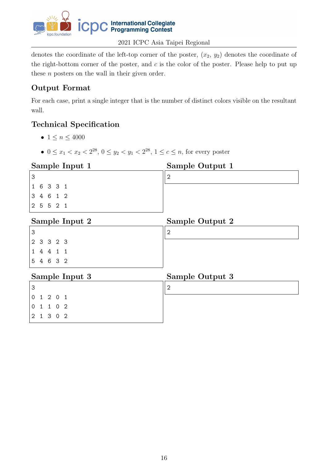

denotes the coordinate of the left-top corner of the poster,  $(x_2, y_2)$  denotes the coordinate of the right-bottom corner of the poster, and  $c$  is the color of the poster. Please help to put up these  $n$  posters on the wall in their given order.

### Output Format

For each case, print a single integer that is the number of distinct colors visible on the resultant wall.

- $1 \le n \le 4000$
- $0 \le x_1 < x_2 < 2^{28}, 0 \le y_2 < y_1 < 2^{28}, 1 \le c \le n$ , for every poster

| Sample Input 1                 | Sample Output 1 |
|--------------------------------|-----------------|
| 3                              | $\mathbf{2}$    |
| 6 3 3 1<br>$\mathbf{1}$        |                 |
| 3 4 6 1 2                      |                 |
| 2 5 5 2 1                      |                 |
| Sample Input 2                 | Sample Output 2 |
| 3                              | $\overline{2}$  |
| 2 3 3 2 3                      |                 |
| 4 4 1 1<br>$\mathbf{1}$        |                 |
| 4 6 3 2<br>5                   |                 |
| Sample Input 3                 | Sample Output 3 |
| 3                              | $\overline{2}$  |
| 1201<br>0                      |                 |
| 0 <sub>2</sub><br>0<br>1<br>1. |                 |
| $\overline{2}$<br>1 3 0 2      |                 |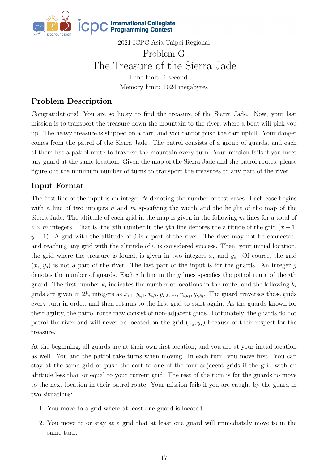

# Problem G The Treasure of the Sierra Jade Time limit: 1 second

Memory limit: 1024 megabytes

### Problem Description

Congratulations! You are so lucky to find the treasure of the Sierra Jade. Now, your last mission is to transport the treasure down the mountain to the river, where a boat will pick you up. The heavy treasure is shipped on a cart, and you cannot push the cart uphill. Your danger comes from the patrol of the Sierra Jade. The patrol consists of a group of guards, and each of them has a patrol route to traverse the mountain every turn. Your mission fails if you meet any guard at the same location. Given the map of the Sierra Jade and the patrol routes, please figure out the minimum number of turns to transport the treasures to any part of the river.

### Input Format

The first line of the input is an integer  $N$  denoting the number of test cases. Each case begins with a line of two integers  $n$  and  $m$  specifying the width and the height of the map of the Sierra Jade. The altitude of each grid in the map is given in the following  $m$  lines for a total of  $n \times m$  integers. That is, the x<sup>th</sup> number in the y<sup>th</sup> line denotes the altitude of the grid  $(x - 1)$ ,  $y-1$ ). A grid with the altitude of 0 is a part of the river. The river may not be connected, and reaching any grid with the altitude of 0 is considered success. Then, your initial location, the grid where the treasure is found, is given in two integers  $x_s$  and  $y_s$ . Of course, the grid  $(x_s, y_s)$  is not a part of the river. The last part of the input is for the guards. An integer g denotes the number of guards. Each *i*th line in the  $q$  lines specifies the patrol route of the *i*th guard. The first number  $k_i$  indicates the number of locations in the route, and the following  $k_i$ grids are given in  $2k_i$  integers as  $x_{i,1}, y_{i,1}, x_{i,2}, y_{i,2}, ..., x_{i,k_i}, y_{i,k_i}$ . The guard traverses these grids every turn in order, and then returns to the first grid to start again. As the guards known for their agility, the patrol route may consist of non-adjacent grids. Fortunately, the guards do not patrol the river and will never be located on the grid  $(x_s, y_s)$  because of their respect for the treasure.

At the beginning, all guards are at their own first location, and you are at your initial location as well. You and the patrol take turns when moving. In each turn, you move first. You can stay at the same grid or push the cart to one of the four adjacent grids if the grid with an altitude less than or equal to your current grid. The rest of the turn is for the guards to move to the next location in their patrol route. Your mission fails if you are caught by the guard in two situations:

- 1. You move to a grid where at least one guard is located.
- 2. You move to or stay at a grid that at least one guard will immediately move to in the same turn.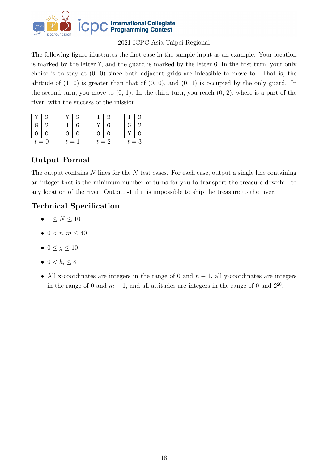

The following figure illustrates the first case in the sample input as an example. Your location is marked by the letter Y, and the guard is marked by the letter G. In the first turn, your only choice is to stay at (0, 0) since both adjacent grids are infeasible to move to. That is, the altitude of  $(1, 0)$  is greater than that of  $(0, 0)$ , and  $(0, 1)$  is occupied by the only guard. In the second turn, you move to  $(0, 1)$ . In the third turn, you reach  $(0, 2)$ , where is a part of the river, with the success of the mission.

| $t=0$ | $\equiv$ $\overline{\phantom{a}}$ |  | $=$ 2 |  | $=3$ |
|-------|-----------------------------------|--|-------|--|------|

### Output Format

The output contains  $N$  lines for the  $N$  test cases. For each case, output a single line containing an integer that is the minimum number of turns for you to transport the treasure downhill to any location of the river. Output -1 if it is impossible to ship the treasure to the river.

- $1 \le N \le 10$
- $0 < n, m \leq 40$
- $\bullet$  0  $\leq$  g  $\leq$  10
- 0 <  $k_i$  < 8
- All x-coordinates are integers in the range of 0 and  $n-1$ , all y-coordinates are integers in the range of 0 and  $m-1$ , and all altitudes are integers in the range of 0 and  $2^{20}$ .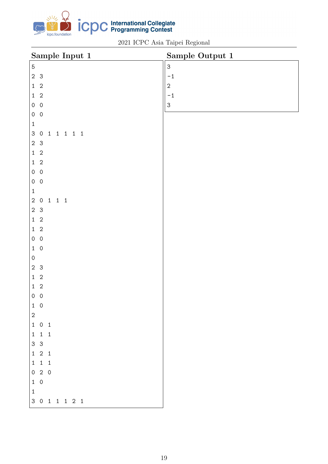

| Sample Input 1                                                                  | Sample Output 1           |
|---------------------------------------------------------------------------------|---------------------------|
| $\mathbf 5$                                                                     | $\ensuremath{\mathsf{3}}$ |
| $\overline{2}$<br>$\mathbf{3}$                                                  | $-1$                      |
| $\mathbf{1}$<br>$\sqrt{2}$                                                      | $\sqrt{2}$                |
| $\sqrt{2}$<br>$\mathbf{1}$                                                      | $-1$                      |
| $\mathsf{O}\xspace$<br>$\overline{0}$                                           | $\ensuremath{\mathsf{3}}$ |
| $\mathsf{O}\xspace$<br>$\mathsf{O}\xspace$                                      |                           |
| $\mathbf 1$                                                                     |                           |
| $\ensuremath{\mathsf{3}}$<br>1 1 1 1 1<br>$\mathsf{O}\xspace$                   |                           |
| $\overline{2}$<br>$\mathbf{3}$                                                  |                           |
| $\mathbf 1$<br>$\sqrt{2}$                                                       |                           |
| $\mathbf 1$<br>$\overline{2}$                                                   |                           |
| $\mathsf{O}\xspace$<br>$\mathbf 0$                                              |                           |
| $\mathsf{O}\xspace$<br>$\overline{0}$                                           |                           |
| $\mathbf{1}$                                                                    |                           |
| $\sqrt{2}$<br>$\begin{array}{ccc} 1 & 1 & 1 \end{array}$<br>$\mathsf{O}\xspace$ |                           |
| 2 <sub>3</sub>                                                                  |                           |
| $\mathbf{1}$<br>$\sqrt{2}$                                                      |                           |
| $\mathbf{1}$<br>$\overline{2}$                                                  |                           |
| $\mathsf{O}\xspace$<br>$\mathbf 0$                                              |                           |
| $\mathbf 1$<br>$\mathsf{O}$                                                     |                           |
| $\mathsf{O}\xspace$                                                             |                           |
| $\mathbf{2}$<br>$\mathbf{3}$                                                    |                           |
| $\mathbf 1$<br>$\sqrt{2}$                                                       |                           |
| $\overline{c}$<br>$\mathbf{1}$                                                  |                           |
| $0\quad 0$                                                                      |                           |
| $1\quad 0$                                                                      |                           |
| $\overline{a}$                                                                  |                           |
| $1 \quad 0 \quad 1$                                                             |                           |
| $\begin{array}{ccc} 1 & 1 & 1 \end{array}$                                      |                           |
| $3 \quad 3$                                                                     |                           |
| $\begin{array}{ccc} 1 & 2 & 1 \end{array}$                                      |                           |
| $1 \quad 1 \quad 1$                                                             |                           |
| $0\quad 2\quad 0$                                                               |                           |
| $\begin{array}{cc} 1 & 0 \\ 1 & \end{array}$                                    |                           |
|                                                                                 |                           |
| $3$ 0 1 1 1 2 1                                                                 |                           |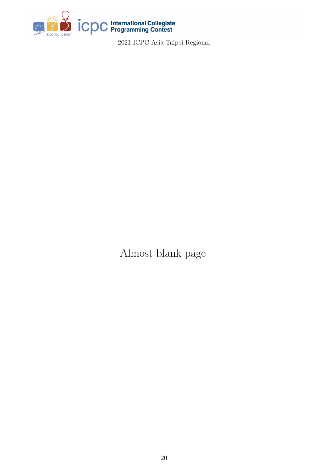

Almost blank page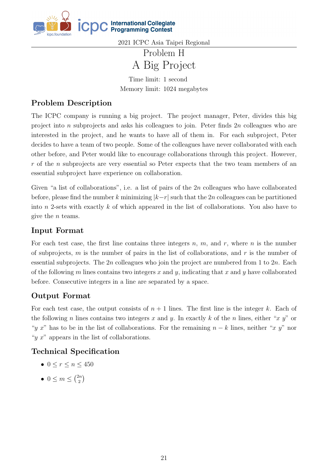

**OC** International Collegiate<br> **OC** Programming Contest

2021 ICPC Asia Taipei Regional

# Problem H A Big Project

Time limit: 1 second Memory limit: 1024 megabytes

## Problem Description

The ICPC company is running a big project. The project manager, Peter, divides this big project into *n* subprojects and asks his colleagues to join. Peter finds  $2n$  colleagues who are interested in the project, and he wants to have all of them in. For each subproject, Peter decides to have a team of two people. Some of the colleagues have never collaborated with each other before, and Peter would like to encourage collaborations through this project. However,  $r$  of the  $n$  subprojects are very essential so Peter expects that the two team members of an essential subproject have experience on collaboration.

Given "a list of collaborations", i.e. a list of pairs of the  $2n$  colleagues who have collaborated before, please find the number k minimizing  $|k-r|$  such that the 2n colleagues can be partitioned into  $n$  2-sets with exactly  $k$  of which appeared in the list of collaborations. You also have to give the  $n$  teams.

### Input Format

For each test case, the first line contains three integers  $n$ ,  $m$ , and  $r$ , where  $n$  is the number of subprojects,  $m$  is the number of pairs in the list of collaborations, and  $r$  is the number of essential subprojects. The 2n colleagues who join the project are numbered from 1 to  $2n$ . Each of the following m lines contains two integers x and  $\gamma$ , indicating that x and  $\gamma$  have collaborated before. Consecutive integers in a line are separated by a space.

## Output Format

For each test case, the output consists of  $n + 1$  lines. The first line is the integer k. Each of the following *n* lines contains two integers x and y. In exactly k of the *n* lines, either "x y" or " y x" has to be in the list of collaborations. For the remaining  $n - k$  lines, neither "x y" nor " $\mathbf{u}$  x" appears in the list of collaborations.

- 0  $\leq r \leq n \leq 450$
- $0 \leq m \leq \binom{2n}{2}$  $\binom{2n}{2}$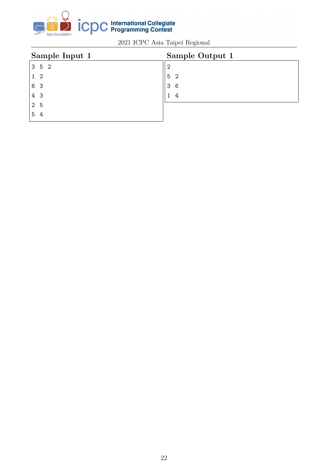

| Sample Input 1    | Sample Output 1     |
|-------------------|---------------------|
| $3\quad 5\quad 2$ | $\overline{2}$      |
| $1\quad 2$        | 5 <sub>2</sub>      |
| 6 3               | 3 <sup>1</sup><br>6 |
| 4 3               | 4<br>1              |
| 2 <sub>5</sub>    |                     |
| 5<br>4            |                     |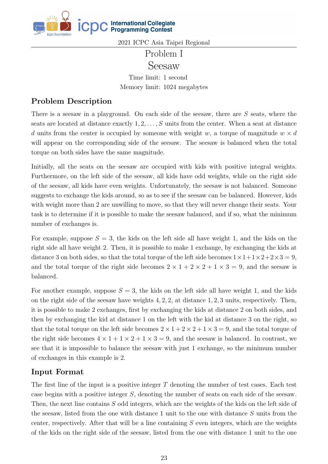

## Problem I Seesaw

Time limit: 1 second Memory limit: 1024 megabytes

### Problem Description

There is a seesaw in a playground. On each side of the seesaw, there are  $S$  seats, where the seats are located at distance exactly  $1, 2, \ldots, S$  units from the center. When a seat at distance d units from the center is occupied by someone with weight w, a torque of magnitude  $w \times d$ will appear on the corresponding side of the seesaw. The seesaw is balanced when the total torque on both sides have the same magnitude.

Initially, all the seats on the seesaw are occupied with kids with positive integral weights. Furthermore, on the left side of the seesaw, all kids have odd weights, while on the right side of the seesaw, all kids have even weights. Unfortunately, the seesaw is not balanced. Someone suggests to exchange the kids around, so as to see if the seesaw can be balanced. However, kids with weight more than 2 are unwilling to move, so that they will never change their seats. Your task is to determine if it is possible to make the seesaw balanced, and if so, what the minimum number of exchanges is.

For example, suppose  $S = 3$ , the kids on the left side all have weight 1, and the kids on the right side all have weight 2. Then, it is possible to make 1 exchange, by exchanging the kids at distance 3 on both sides, so that the total torque of the left side becomes  $1 \times 1 + 1 \times 2 + 2 \times 3 = 9$ , and the total torque of the right side becomes  $2 \times 1 + 2 \times 2 + 1 \times 3 = 9$ , and the seesaw is balanced.

For another example, suppose  $S = 3$ , the kids on the left side all have weight 1, and the kids on the right side of the seesaw have weights 4, 2, 2, at distance 1, 2, 3 units, respectively. Then, it is possible to make 2 exchanges, first by exchanging the kids at distance 2 on both sides, and then by exchanging the kid at distance 1 on the left with the kid at distance 3 on the right, so that the total torque on the left side becomes  $2 \times 1 + 2 \times 2 + 1 \times 3 = 9$ , and the total torque of the right side becomes  $4 \times 1 + 1 \times 2 + 1 \times 3 = 9$ , and the seesaw is balanced. In contrast, we see that it is impossible to balance the seesaw with just 1 exchange, so the minimum number of exchanges in this example is 2.

### Input Format

The first line of the input is a positive integer  $T$  denoting the number of test cases. Each test case begins with a positive integer  $S$ , denoting the number of seats on each side of the seesaw. Then, the next line contains  $S$  odd integers, which are the weights of the kids on the left side of the seesaw, listed from the one with distance 1 unit to the one with distance  $S$  units from the center, respectively. After that will be a line containing  $S$  even integers, which are the weights of the kids on the right side of the seesaw, listed from the one with distance 1 unit to the one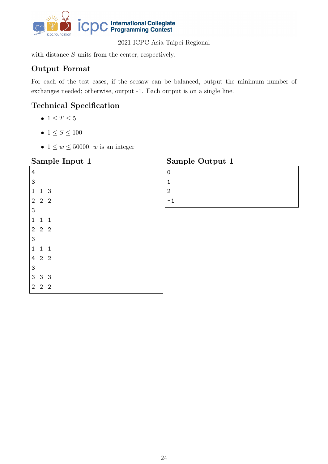

with distance  $S$  units from the center, respectively.

## Output Format

For each of the test cases, if the seesaw can be balanced, output the minimum number of exchanges needed; otherwise, output -1. Each output is on a single line.

- $\bullet$  1  $\leq T \leq 5$
- $1 \le S \le 100$
- $1 \leq w \leq 50000$ ; w is an integer

| Sample Input 1                   | Sample Output 1 |
|----------------------------------|-----------------|
| $\,4\,$                          | $\mathbf 0$     |
| $\ensuremath{\mathsf{3}}$        | 1               |
| 3<br>$\mathbf{1}$<br>1           | $\overline{2}$  |
| $2\quad 2\quad 2$                | $-1$            |
| 3                                |                 |
| $\mathbf{1}$<br>$\mathbf 1$      |                 |
| $2\quad 2\quad 2$                |                 |
| 3                                |                 |
| $\mathbf{1}$<br>$\mathbf 1$      |                 |
| 4 2 2                            |                 |
| 3                                |                 |
| 333                              |                 |
| 2 <sub>2</sub><br>$\overline{2}$ |                 |
|                                  |                 |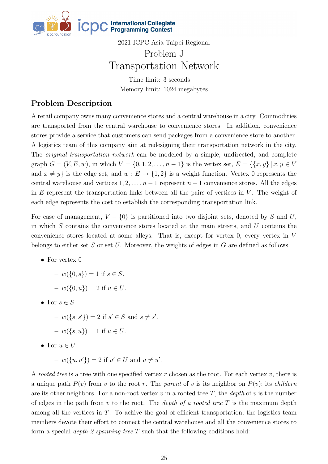

# Problem J Transportation Network

Time limit: 3 seconds Memory limit: 1024 megabytes

### Problem Description

A retail company owns many convenience stores and a central warehouse in a city. Commodities are transported from the central warehouse to convenience stores. In addition, convenience stores provide a service that customers can send packages from a convenience store to another. A logistics team of this company aim at redesigning their transportation network in the city. The *original transportation network* can be modeled by a simple, undirected, and complete graph  $G = (V, E, w)$ , in which  $V = \{0, 1, 2, ..., n-1\}$  is the vertex set,  $E = \{\{x, y\} | x, y \in V\}$ and  $x \neq y$  is the edge set, and  $w : E \to \{1,2\}$  is a weight function. Vertex 0 represents the central warehouse and vertices  $1, 2, \ldots, n-1$  represent  $n-1$  convenience stores. All the edges in  $E$  represent the transportation links between all the pairs of vertices in  $V$ . The weight of each edge represents the cost to establish the corresponding transportation link.

For ease of management,  $V - \{0\}$  is partitioned into two disjoint sets, denoted by S and U, in which  $S$  contains the convenience stores located at the main streets, and  $U$  contains the convenience stores located at some alleys. That is, except for vertex  $0$ , every vertex in  $V$ belongs to either set S or set U. Moreover, the weights of edges in G are defined as follows.

- ∙ For vertex 0
	- $w({0, s}) = 1$  if  $s \in S$ .
	- $w({0, u}) = 2$  if  $u \in U$ .
- For  $s \in S$ 
	- $w({s, s'}) = 2$  if  $s' \in S$  and  $s \neq s'$ .

$$
- w({s, u}) = 1 \text{ if } u \in U.
$$

- For  $u \in U$ 
	- $w({u, u'}) = 2$  if  $u' \in U$  and  $u \neq u'$ .

A rooted tree is a tree with one specified vertex  $r$  chosen as the root. For each vertex  $v$ , there is a unique path  $P(v)$  from v to the root r. The parent of v is its neighbor on  $P(v)$ ; its childern are its other neighbors. For a non-root vertex  $v$  in a rooted tree T, the depth of  $v$  is the number of edges in the path from  $v$  to the root. The *depth of a rooted tree T* is the maximum depth among all the vertices in  $T$ . To achive the goal of efficient transportation, the logistics team members devote their effort to connect the central warehouse and all the convenience stores to form a special *depth-2 spanning tree*  $T$  such that the following coditions hold: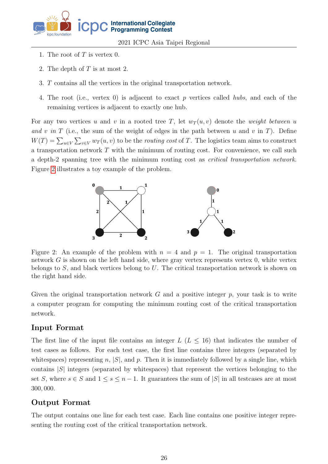

- 1. The root of  $T$  is vertex 0.
- 2. The depth of  $T$  is at most 2.
- 3. T contains all the vertices in the original transportation network.
- 4. The root (i.e., vertex 0) is adjacent to exact  $p$  vertices called hubs, and each of the remaining vertices is adjacent to exactly one hub.

For any two vertices u and v in a rooted tree T, let  $w_T(u, v)$  denote the weight between u and v in T (i.e., the sum of the weight of edges in the path between u and v in T). Define  $W(T) = \sum_{u \in V} \sum_{v \in V} w_T(u, v)$  to be the *routing cost* of T. The logistics team aims to construct a transportation network  $T$  with the minimum of routing cost. For convenience, we call such a depth-2 spanning tree with the minimum routing cost as critical transportation network. Figure [2](#page-25-0) illustrates a toy example of the problem.

<span id="page-25-0"></span>

Figure 2: An example of the problem with  $n = 4$  and  $p = 1$ . The original transportation network  $G$  is shown on the left hand side, where gray vertex represents vertex  $0$ , white vertex belongs to  $S$ , and black vertices belong to  $U$ . The critical transportation network is shown on the right hand side.

Given the original transportation network  $G$  and a positive integer  $p$ , your task is to write a computer program for computing the minimum routing cost of the critical transportation network.

### Input Format

The first line of the input file contains an integer  $L (L \leq 16)$  that indicates the number of test cases as follows. For each test case, the first line contains three integers (separated by whitespaces) representing n,  $|S|$ , and p. Then it is immediately followed by a single line, which contains  $|S|$  integers (separated by whitespaces) that represent the vertices belonging to the set S, where  $s \in S$  and  $1 \leq s \leq n-1$ . It guarantees the sum of  $|S|$  in all testcases are at most 300, 000.

### Output Format

The output contains one line for each test case. Each line contains one positive integer representing the routing cost of the critical transportation network.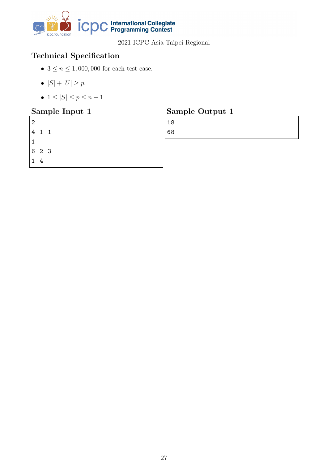

- $3 \leq n \leq 1,000,000$  for each test case.
- $|S| + |U| \ge p$ .
- $1 \leq |S| \leq p \leq n-1$ .

| Sample Input 1 | Sample Output 1 |
|----------------|-----------------|
|                | 18              |
| 4<br>- 1       | 68              |
|                |                 |
| 6 2 3          |                 |
|                |                 |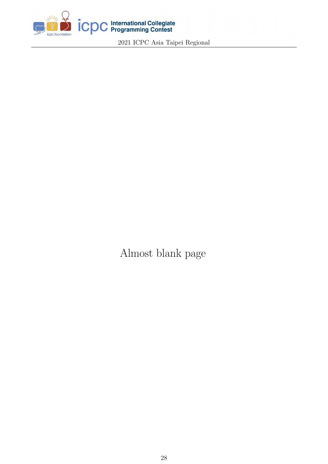

Almost blank page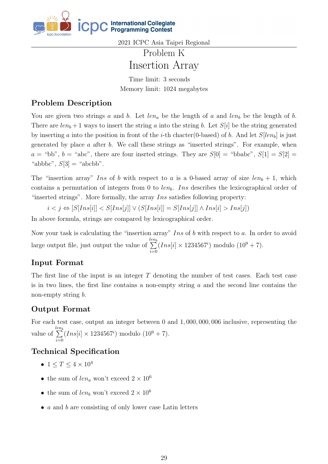

## Problem K Insertion Array

Time limit: 3 seconds Memory limit: 1024 megabytes

### Problem Description

You are given two strings a and b. Let  $len_a$  be the length of a and  $len_b$  be the length of b. There are  $len_b + 1$  ways to insert the string a into the string b. Let  $S[i]$  be the string generated by inserting a into the position in front of the *i*-th chacter(0-based) of b. And let  $S[len_b]$  is just generated by place  $a$  after  $b$ . We call these strings as "inserted strings". For example, when  $a =$  "bb",  $b =$  "abc", there are four insrted strings. They are  $S[0] =$  "bbabc",  $S[1] = S[2] =$ "abbbc",  $S[3] =$  "abcbb".

The "insertion array" Ins of b with respect to a is a 0-based array of size  $len_b + 1$ , which contains a permutation of integers from 0 to  $len_b$ . Ins describes the lexicographical order of "inserted strings". More formally, the array  $Ins$  satisfies following property:

 $i \leq j \Leftrightarrow [S[Ins[i]] \leq S[Ins[j]] \vee (S[Ins[i]] = S[Ins[j]] \wedge Ins[i] > Ins[j])$ 

In above formula, strings are compared by lexicographical order.

Now your task is calculating the "insertion array"  $Ins$  of  $b$  with respect to  $a$ . In order to avoid large output file, just output the value of  $rac{len_b}{\sum}$  $i=0$  $(In[i] \times 1234567^i) \text{ modulo } (10^9 + 7).$ 

### Input Format

The first line of the input is an integer  $T$  denoting the number of test cases. Each test case is in two lines, the first line contains a non-empty string  $a$  and the second line contains the non-empty string *.* 

### Output Format

For each test case, output an integer between 0 and 1, 000, 000, 006 inclusive, representing the value of  $rac{len_b}{\sum}$  $i=0$  $(In[i] \times 1234567^i) \text{ modulo } (10^9 + 7).$ 

- $\bullet$  1  $\leq T \leq 4 \times 10^4$
- the sum of  $len_a$  won't exceed  $2 \times 10^6$
- the sum of  $len_b$  won't exceed  $2 \times 10^6$
- $a$  and  $b$  are consisting of only lower case Latin letters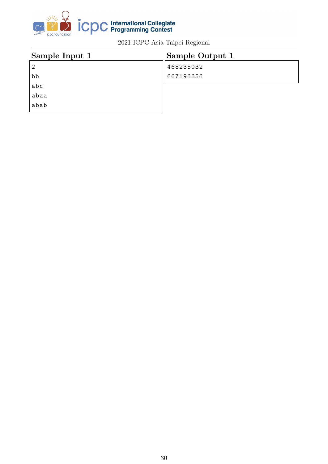

| Sample Input 1 | Sample Output 1 |
|----------------|-----------------|
| 2              | 468235032       |
| bb             | 667196656       |
| abc            |                 |
| abaa           |                 |
| abab           |                 |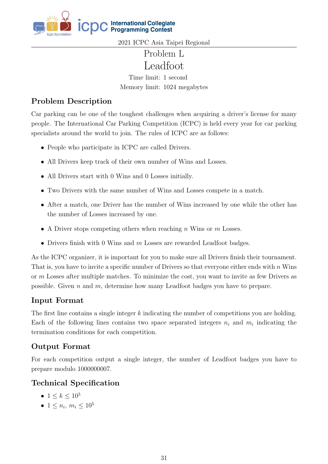

## Problem L Leadfoot

Time limit: 1 second Memory limit: 1024 megabytes

## Problem Description

Car parking can be one of the toughest challenges when acquiring a driver's license for many people. The International Car Parking Competition (ICPC) is held every year for car parking specialists around the world to join. The rules of ICPC are as follows:

- ∙ People who participate in ICPC are called Drivers.
- ∙ All Drivers keep track of their own number of Wins and Losses.
- ∙ All Drivers start with 0 Wins and 0 Losses initially.
- ∙ Two Drivers with the same number of Wins and Losses compete in a match.
- ∙ After a match, one Driver has the number of Wins increased by one while the other has the number of Losses increased by one.
- A Driver stops competing others when reaching  $n$  Wins or  $m$  Losses.
- Drivers finish with 0 Wins and  $m$  Losses are rewarded Leadfoot badges.

As the ICPC organizer, it is important for you to make sure all Drivers finish their tournament. That is, you have to invite a specific number of Drivers so that everyone either ends with  $n$  Wins or  $m$  Losses after multiple matches. To minimize the cost, you want to invite as few Drivers as possible. Given  $n$  and  $m$ , determine how many Leadfoot badges you have to prepare.

### Input Format

The first line contains a single integer  $k$  indicating the number of competitions you are holding. Each of the following lines contains two space separated integers  $n_i$  and  $m_i$  indicating the termination conditions for each competition.

### Output Format

For each competition output a single integer, the number of Leadfoot badges you have to prepare modulo 1000000007.

- 1  $\leq k \leq 10^5$
- $1 \leq n_i, m_i \leq 10^5$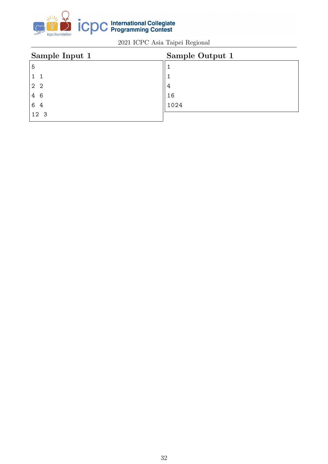

| Sample Input 1 | Sample Output 1 |
|----------------|-----------------|
| 5              | 1               |
|                |                 |
| 2 <sub>2</sub> | 4               |
| -6<br>4        | 16              |
| 6<br>4         | 1024            |
| 12 3           |                 |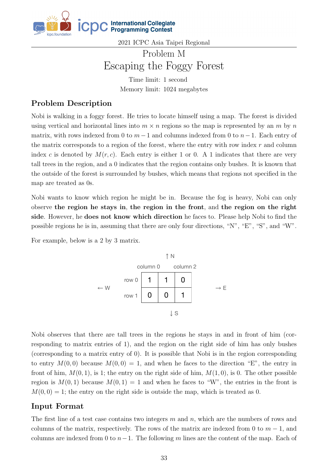

# Problem M Escaping the Foggy Forest

Time limit: 1 second Memory limit: 1024 megabytes

### Problem Description

Nobi is walking in a foggy forest. He tries to locate himself using a map. The forest is divided using vertical and horizontal lines into  $m \times n$  regions so the map is represented by an  $m$  by  $n$ matrix, with rows indexed from 0 to  $m-1$  and columns indexed from 0 to  $n-1$ . Each entry of the matrix corresponds to a region of the forest, where the entry with row index  $r$  and column index c is denoted by  $M(r, c)$ . Each entry is either 1 or 0. A 1 indicates that there are very tall trees in the region, and a 0 indicates that the region contains only bushes. It is known that the outside of the forest is surrounded by bushes, which means that regions not specified in the map are treated as 0s.

Nobi wants to know which region he might be in. Because the fog is heavy, Nobi can only observe the region he stays in, the region in the front, and the region on the right side. However, he does not know which direction he faces to. Please help Nobi to find the possible regions he is in, assuming that there are only four directions, "N", "E", "S", and "W".

For example, below is a 2 by 3 matrix.



Nobi observes that there are tall trees in the regions he stays in and in front of him (corresponding to matrix entries of 1), and the region on the right side of him has only bushes (corresponding to a matrix entry of 0). It is possible that Nobi is in the region corresponding to entry  $M(0, 0)$  because  $M(0, 0) = 1$ , and when he faces to the direction "E", the entry in front of him,  $M(0, 1)$ , is 1; the entry on the right side of him,  $M(1, 0)$ , is 0. The other possible region is  $M(0, 1)$  because  $M(0, 1) = 1$  and when he faces to "W", the entries in the front is  $M(0, 0) = 1$ ; the entry on the right side is outside the map, which is treated as 0.

#### Input Format

The first line of a test case contains two integers  $m$  and  $n$ , which are the numbers of rows and columns of the matrix, respectively. The rows of the matrix are indexed from 0 to  $m-1$ , and columns are indexed from 0 to  $n-1$ . The following m lines are the content of the map. Each of